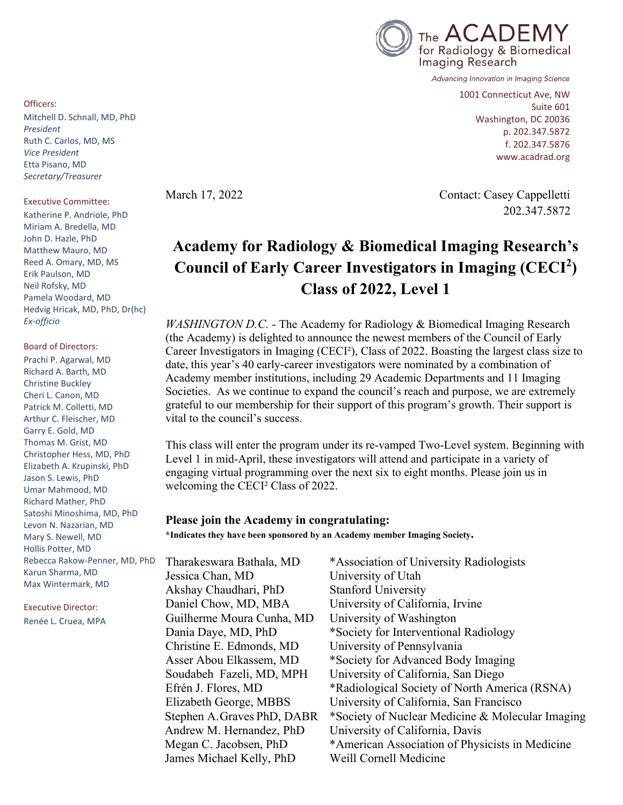

Advancing Innovation in Imaging Science

1001 Connecticut Ave, NW Suite 601 Washington, DC 20036 p. 202.347.5872 f. 202.347.5876 www.acadrad.org

March 17, 2022 Contact: Casey Cappelletti 202.347.5872

# **Academy for Radiology & Biomedical Imaging Research's Council of Early Career Investigators in Imaging (CECI<sup>2</sup> ) Class of 2022, Level 1**

*WASHINGTON D.C. -* The Academy for Radiology & Biomedical Imaging Research (the Academy) is delighted to announce the newest members of the Council of Early Career Investigators in Imaging (CECI²), Class of 2022. Boasting the largest class size to date, this year's 40 early-career investigators were nominated by a combination of Academy member institutions, including 29 Academic Departments and 11 Imaging Societies. As we continue to expand the council's reach and purpose, we are extremely grateful to our membership for their support of this program's growth. Their support is vital to the council's success.

This class will enter the program under its re-vamped Two-Level system. Beginning with Level 1 in mid-April, these investigators will attend and participate in a variety of engaging virtual programming over the next six to eight months. Please join us in welcoming the CECI² Class of 2022.

### **Please join the Academy in congratulating:**

**\*Indicates they have been sponsored by an Academy member Imaging Society.**

Tharakeswara Bathala, MD \*Association of University Radiologists Jessica Chan, MD University of Utah Akshay Chaudhari, PhD Stanford University Daniel Chow, MD, MBA University of California, Irvine Guilherme Moura Cunha, MD University of Washington Dania Daye, MD, PhD \*Society for Interventional Radiology Christine E. Edmonds, MD University of Pennsylvania Asser Abou Elkassem, MD \*Society for Advanced Body Imaging Soudabeh Fazeli, MD, MPH University of California, San Diego Efrén J. Flores, MD \*Radiological Society of North America (RSNA) Elizabeth George, MBBS University of California, San Francisco Stephen A.Graves PhD, DABR \*Society of Nuclear Medicine & Molecular Imaging Andrew M. Hernandez, PhD University of California, Davis Megan C. Jacobsen, PhD \*American Association of Physicists in Medicine James Michael Kelly, PhD Weill Cornell Medicine

Officers:

Mitchell D. Schnall, MD, PhD *President* Ruth C. Carlos, MD, MS *Vice President* Etta Pisano, MD *Secretary/Treasurer*

#### Executive Committee:

Katherine P. Andriole, PhD Miriam A. Bredella, MD John D. Hazle, PhD Matthew Mauro, MD Reed A. Omary, MD, MS Erik Paulson, MD Neil Rofsky, MD Pamela Woodard, MD Hedvig Hricak, MD, PhD, Dr(hc) *Ex-officio*

Board of Directors: Prachi P. Agarwal, MD Richard A. Barth, MD Christine Buckley Cheri L. Canon, MD Patrick M. Colletti, MD Arthur C. Fleischer, MD Garry E. Gold, MD Thomas M. Grist, MD Christopher Hess, MD, PhD Elizabeth A. Krupinski, PhD Jason S. Lewis, PhD Umar Mahmood, MD Richard Mather, PhD Satoshi Minoshima, MD, PhD Levon N. Nazarian, MD Mary S. Newell, MD Hollis Potter, MD Rebecca Rakow-Penner, MD, PhD Karun Sharma, MD Max Wintermark, MD

Executive Director: Renée L. Cruea, MPA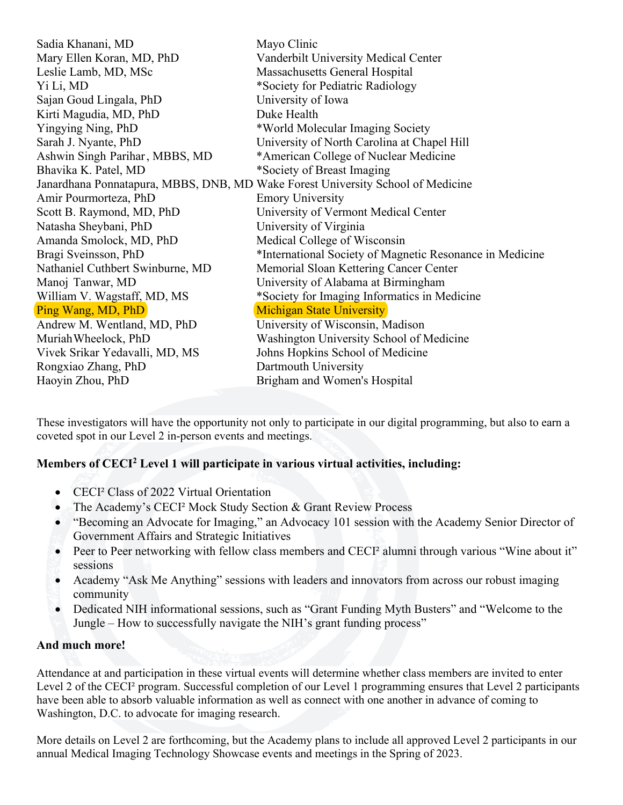| Vanderbilt University Medical Center<br>Massachusetts General Hospital<br>*Society for Pediatric Radiology<br>University of Iowa<br>Duke Health<br>*World Molecular Imaging Society<br>University of North Carolina at Chapel Hill<br>*American College of Nuclear Medicine<br>*Society of Breast Imaging<br>Janardhana Ponnatapura, MBBS, DNB, MD Wake Forest University School of Medicine<br><b>Emory University</b><br>University of Vermont Medical Center<br>University of Virginia<br>Medical College of Wisconsin<br>*International Society of Magnetic Resonance in Medicine<br>Memorial Sloan Kettering Cancer Center<br>University of Alabama at Birmingham<br>*Society for Imaging Informatics in Medicine<br><b>Michigan State University</b><br>University of Wisconsin, Madison<br>Washington University School of Medicine<br>Johns Hopkins School of Medicine<br>Dartmouth University<br>Brigham and Women's Hospital | Sadia Khanani, MD                | Mayo Clinic |
|----------------------------------------------------------------------------------------------------------------------------------------------------------------------------------------------------------------------------------------------------------------------------------------------------------------------------------------------------------------------------------------------------------------------------------------------------------------------------------------------------------------------------------------------------------------------------------------------------------------------------------------------------------------------------------------------------------------------------------------------------------------------------------------------------------------------------------------------------------------------------------------------------------------------------------------|----------------------------------|-------------|
|                                                                                                                                                                                                                                                                                                                                                                                                                                                                                                                                                                                                                                                                                                                                                                                                                                                                                                                                        | Mary Ellen Koran, MD, PhD        |             |
|                                                                                                                                                                                                                                                                                                                                                                                                                                                                                                                                                                                                                                                                                                                                                                                                                                                                                                                                        | Leslie Lamb, MD, MSc             |             |
|                                                                                                                                                                                                                                                                                                                                                                                                                                                                                                                                                                                                                                                                                                                                                                                                                                                                                                                                        | Yi Li, MD                        |             |
|                                                                                                                                                                                                                                                                                                                                                                                                                                                                                                                                                                                                                                                                                                                                                                                                                                                                                                                                        | Sajan Goud Lingala, PhD          |             |
|                                                                                                                                                                                                                                                                                                                                                                                                                                                                                                                                                                                                                                                                                                                                                                                                                                                                                                                                        | Kirti Magudia, MD, PhD           |             |
|                                                                                                                                                                                                                                                                                                                                                                                                                                                                                                                                                                                                                                                                                                                                                                                                                                                                                                                                        | Yingying Ning, PhD               |             |
|                                                                                                                                                                                                                                                                                                                                                                                                                                                                                                                                                                                                                                                                                                                                                                                                                                                                                                                                        | Sarah J. Nyante, PhD             |             |
|                                                                                                                                                                                                                                                                                                                                                                                                                                                                                                                                                                                                                                                                                                                                                                                                                                                                                                                                        | Ashwin Singh Parihar, MBBS, MD   |             |
|                                                                                                                                                                                                                                                                                                                                                                                                                                                                                                                                                                                                                                                                                                                                                                                                                                                                                                                                        | Bhavika K. Patel, MD             |             |
|                                                                                                                                                                                                                                                                                                                                                                                                                                                                                                                                                                                                                                                                                                                                                                                                                                                                                                                                        |                                  |             |
|                                                                                                                                                                                                                                                                                                                                                                                                                                                                                                                                                                                                                                                                                                                                                                                                                                                                                                                                        | Amir Pourmorteza, PhD            |             |
|                                                                                                                                                                                                                                                                                                                                                                                                                                                                                                                                                                                                                                                                                                                                                                                                                                                                                                                                        | Scott B. Raymond, MD, PhD        |             |
|                                                                                                                                                                                                                                                                                                                                                                                                                                                                                                                                                                                                                                                                                                                                                                                                                                                                                                                                        | Natasha Sheybani, PhD            |             |
|                                                                                                                                                                                                                                                                                                                                                                                                                                                                                                                                                                                                                                                                                                                                                                                                                                                                                                                                        | Amanda Smolock, MD, PhD          |             |
|                                                                                                                                                                                                                                                                                                                                                                                                                                                                                                                                                                                                                                                                                                                                                                                                                                                                                                                                        | Bragi Sveinsson, PhD             |             |
|                                                                                                                                                                                                                                                                                                                                                                                                                                                                                                                                                                                                                                                                                                                                                                                                                                                                                                                                        | Nathaniel Cuthbert Swinburne, MD |             |
|                                                                                                                                                                                                                                                                                                                                                                                                                                                                                                                                                                                                                                                                                                                                                                                                                                                                                                                                        | Manoj Tanwar, MD                 |             |
|                                                                                                                                                                                                                                                                                                                                                                                                                                                                                                                                                                                                                                                                                                                                                                                                                                                                                                                                        | William V. Wagstaff, MD, MS      |             |
|                                                                                                                                                                                                                                                                                                                                                                                                                                                                                                                                                                                                                                                                                                                                                                                                                                                                                                                                        | Ping Wang, MD, PhD               |             |
|                                                                                                                                                                                                                                                                                                                                                                                                                                                                                                                                                                                                                                                                                                                                                                                                                                                                                                                                        | Andrew M. Wentland, MD, PhD      |             |
|                                                                                                                                                                                                                                                                                                                                                                                                                                                                                                                                                                                                                                                                                                                                                                                                                                                                                                                                        | Muriah Wheelock, PhD             |             |
|                                                                                                                                                                                                                                                                                                                                                                                                                                                                                                                                                                                                                                                                                                                                                                                                                                                                                                                                        | Vivek Srikar Yedavalli, MD, MS   |             |
|                                                                                                                                                                                                                                                                                                                                                                                                                                                                                                                                                                                                                                                                                                                                                                                                                                                                                                                                        | Rongxiao Zhang, PhD              |             |
|                                                                                                                                                                                                                                                                                                                                                                                                                                                                                                                                                                                                                                                                                                                                                                                                                                                                                                                                        | Haoyin Zhou, PhD                 |             |

These investigators will have the opportunity not only to participate in our digital programming, but also to earn a coveted spot in our Level 2 in-person events and meetings.

## **Members of CECI2 Level 1 will participate in various virtual activities, including:**

- CECI² Class of 2022 Virtual Orientation
- The Academy's CECI<sup>2</sup> Mock Study Section & Grant Review Process
- "Becoming an Advocate for Imaging," an Advocacy 101 session with the Academy Senior Director of Government Affairs and Strategic Initiatives
- Peer to Peer networking with fellow class members and CECI<sup>2</sup> alumni through various "Wine about it" sessions
- Academy "Ask Me Anything" sessions with leaders and innovators from across our robust imaging community
- Dedicated NIH informational sessions, such as "Grant Funding Myth Busters" and "Welcome to the Jungle – How to successfully navigate the NIH's grant funding process"

## **And much more!**

Attendance at and participation in these virtual events will determine whether class members are invited to enter Level 2 of the CECI<sup>2</sup> program. Successful completion of our Level 1 programming ensures that Level 2 participants have been able to absorb valuable information as well as connect with one another in advance of coming to Washington, D.C. to advocate for imaging research.

More details on Level 2 are forthcoming, but the Academy plans to include all approved Level 2 participants in our annual Medical Imaging Technology Showcase events and meetings in the Spring of 2023.